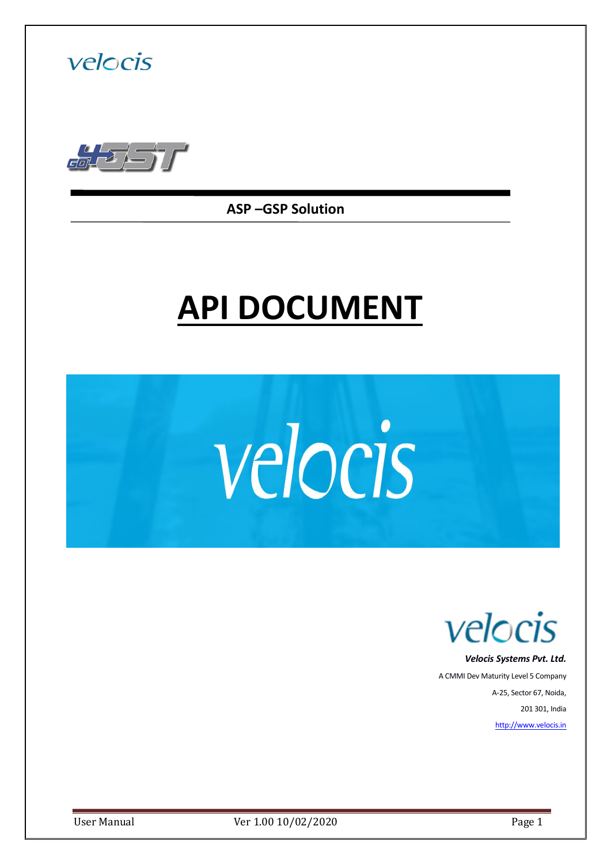



**ASP –GSP Solution**

# **API DOCUMENT**





 *Velocis Systems Pvt. Ltd.*

A CMMI Dev Maturity Level 5 Company A-25, Sector 67, Noida, 201 301, India [http://www.velocis.in](http://www.velocis.in/)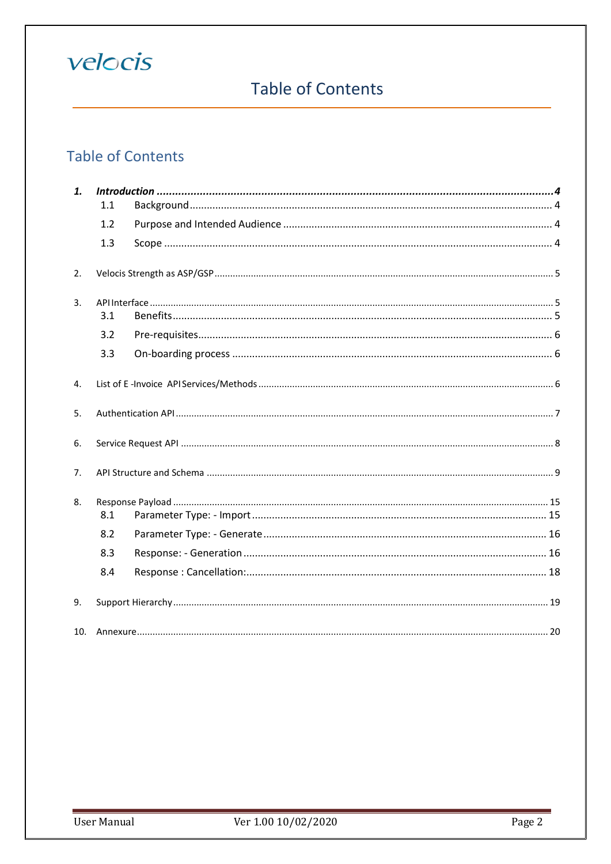## **Table of Contents**

## **Table of Contents**

| 1.             |     |  |  |
|----------------|-----|--|--|
|                | 1.1 |  |  |
|                | 1.2 |  |  |
|                | 1.3 |  |  |
| 2.             |     |  |  |
| $\mathbf{3}$ . | 3.1 |  |  |
|                | 3.2 |  |  |
|                | 3.3 |  |  |
| 4.             |     |  |  |
| 5 <sub>1</sub> |     |  |  |
| 6.             |     |  |  |
| 7 <sub>1</sub> |     |  |  |
| 8.             | 8.1 |  |  |
|                | 8.2 |  |  |
|                | 8.3 |  |  |
|                | 8.4 |  |  |
| 9.             |     |  |  |
|                |     |  |  |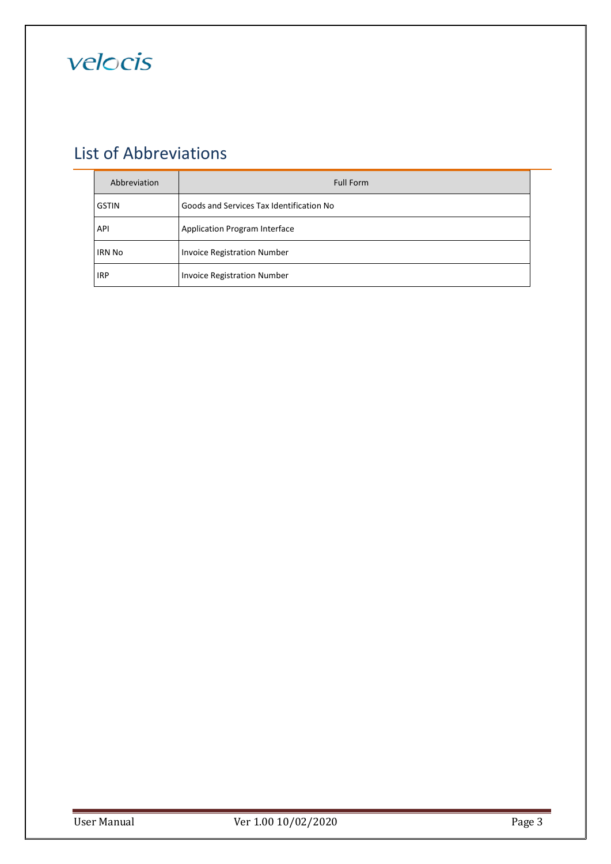

## List of Abbreviations

| Abbreviation  | <b>Full Form</b>                         |  |
|---------------|------------------------------------------|--|
| <b>GSTIN</b>  | Goods and Services Tax Identification No |  |
| API           | <b>Application Program Interface</b>     |  |
| <b>IRN No</b> | <b>Invoice Registration Number</b>       |  |
| <b>IRP</b>    | <b>Invoice Registration Number</b>       |  |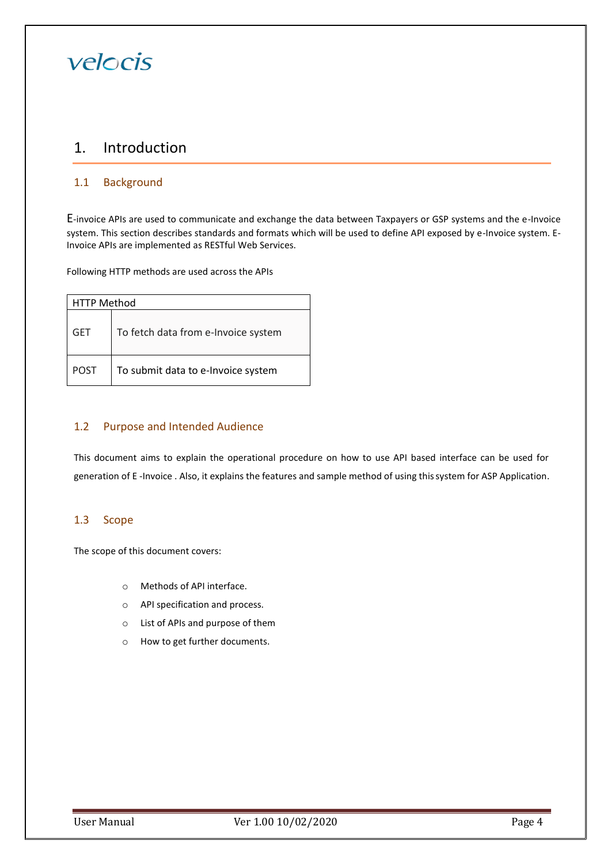### <span id="page-3-0"></span>1. Introduction

### <span id="page-3-1"></span>1.1 Background

E-invoice APIs are used to communicate and exchange the data between Taxpayers or GSP systems and the e-Invoice system. This section describes standards and formats which will be used to define API exposed by e-Invoice system. E-Invoice APIs are implemented as RESTful Web Services.

Following HTTP methods are used across the APIs

| <b>HTTP Method</b> |                                     |  |  |
|--------------------|-------------------------------------|--|--|
| <b>GET</b>         | To fetch data from e-Invoice system |  |  |
| <b>POST</b>        | To submit data to e-Invoice system  |  |  |

### <span id="page-3-2"></span>1.2 Purpose and Intended Audience

This document aims to explain the operational procedure on how to use API based interface can be used for generation of E -Invoice . Also, it explains the features and sample method of using thissystem for ASP Application.

### <span id="page-3-3"></span>1.3 Scope

The scope of this document covers:

- o Methods of API interface.
- o API specification and process.
- o List of APIs and purpose of them
- o How to get further documents.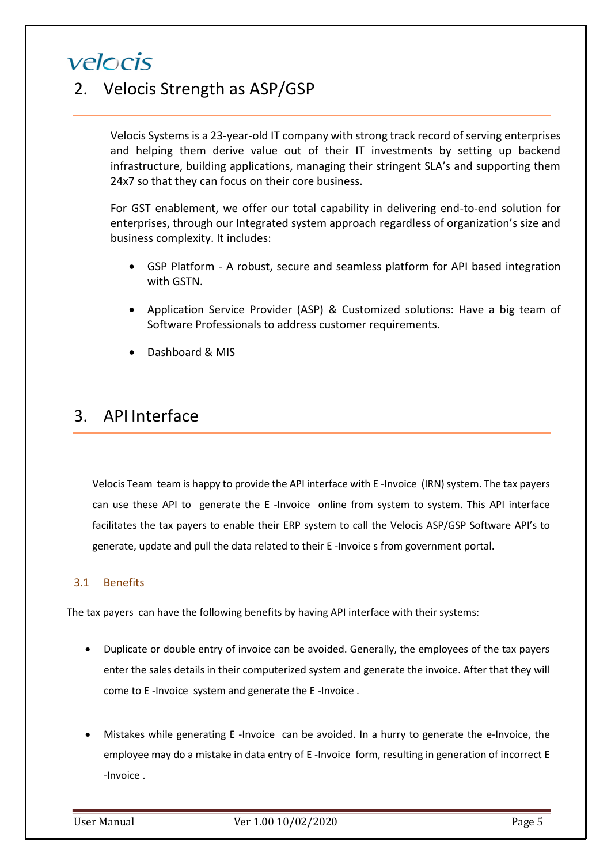## <span id="page-4-0"></span>2. Velocis Strength as ASP/GSP

Velocis Systems is a 23-year-old IT company with strong track record of serving enterprises and helping them derive value out of their IT investments by setting up backend infrastructure, building applications, managing their stringent SLA's and supporting them 24x7 so that they can focus on their core business.

For GST enablement, we offer our total capability in delivering end-to-end solution for enterprises, through our Integrated system approach regardless of organization's size and business complexity. It includes:

- GSP Platform A robust, secure and seamless platform for API based integration with GSTN.
- Application Service Provider (ASP) & Customized solutions: Have a big team of Software Professionals to address customer requirements.
- Dashboard & MIS

## <span id="page-4-1"></span>3. API Interface

Velocis Team team is happy to provide the API interface with E -Invoice (IRN) system. The tax payers can use these API to generate the E -Invoice online from system to system. This API interface facilitates the tax payers to enable their ERP system to call the Velocis ASP/GSP Software API's to generate, update and pull the data related to their E -Invoice s from government portal.

### <span id="page-4-2"></span>3.1 Benefits

The tax payers can have the following benefits by having API interface with their systems:

- Duplicate or double entry of invoice can be avoided. Generally, the employees of the tax payers enter the sales details in their computerized system and generate the invoice. After that they will come to E -Invoice system and generate the E -Invoice .
- Mistakes while generating E -Invoice can be avoided. In a hurry to generate the e-Invoice, the employee may do a mistake in data entry of E -Invoice form, resulting in generation of incorrect E -Invoice .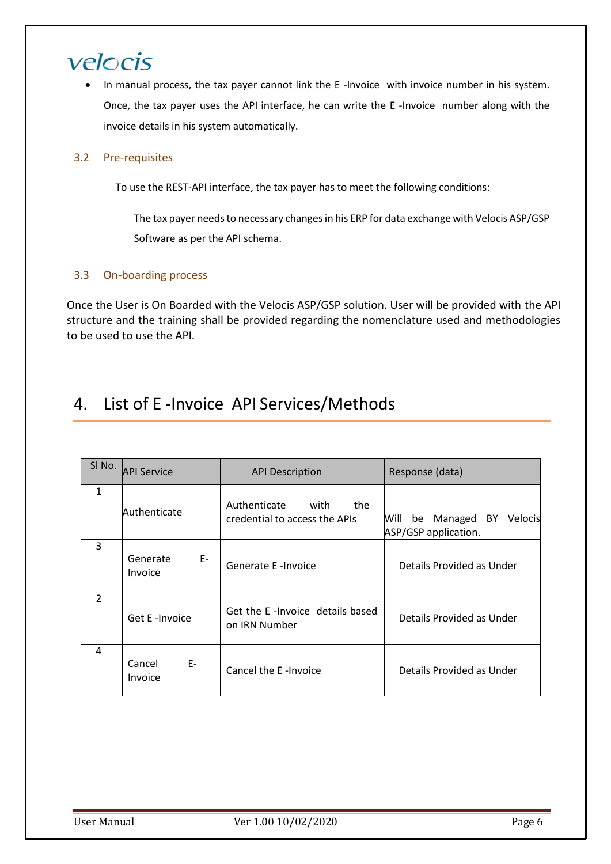In manual process, the tax payer cannot link the E-Invoice with invoice number in his system. Once, the tax payer uses the API interface, he can write the E -Invoice number along with the invoice details in his system automatically.

### <span id="page-5-0"></span>3.2 Pre-requisites

To use the REST-API interface, the tax payer has to meet the following conditions:

The tax payer needs to necessary changes in his ERP for data exchange with Velocis ASP/GSP Software as per the API schema.

### <span id="page-5-1"></span>3.3 On-boarding process

Once the User is On Boarded with the Velocis ASP/GSP solution. User will be provided with the API structure and the training shall be provided regarding the nomenclature used and methodologies to be used to use the API.

## <span id="page-5-2"></span>4. List of E -Invoice API Services/Methods

| SI No.         | <b>API Service</b>        | <b>API Description</b>                                       | Response (data)                                             |
|----------------|---------------------------|--------------------------------------------------------------|-------------------------------------------------------------|
| 1              | Authenticate              | Authenticate<br>with<br>the<br>credential to access the APIs | be Managed<br>BY<br>Velocis<br>Will<br>ASP/GSP application. |
| 3              | E-<br>Generate<br>Invoice | Generate E -Invoice                                          | Details Provided as Under                                   |
| $\overline{2}$ | Get E -Invoice            | Get the E-Invoice details based<br>on IRN Number             | Details Provided as Under                                   |
| 4              | E-<br>Cancel<br>Invoice   | Cancel the E-Invoice                                         | Details Provided as Under                                   |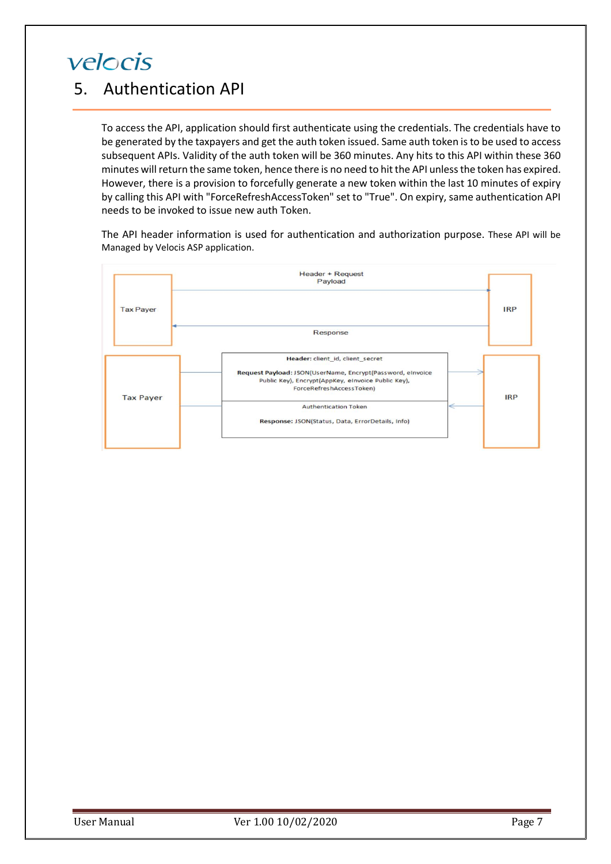## <span id="page-6-0"></span>5. Authentication API

To access the API, application should first authenticate using the credentials. The credentials have to be generated by the taxpayers and get the auth token issued. Same auth token is to be used to access subsequent APIs. Validity of the auth token will be 360 minutes. Any hits to this API within these 360 minutes will return the same token, hence there is no need to hit the API unless the token has expired. However, there is a provision to forcefully generate a new token within the last 10 minutes of expiry by calling this API with "ForceRefreshAccessToken" set to "True". On expiry, same authentication API needs to be invoked to issue new auth Token.

The API header information is used for authentication and authorization purpose. These API will be Managed by Velocis ASP application.

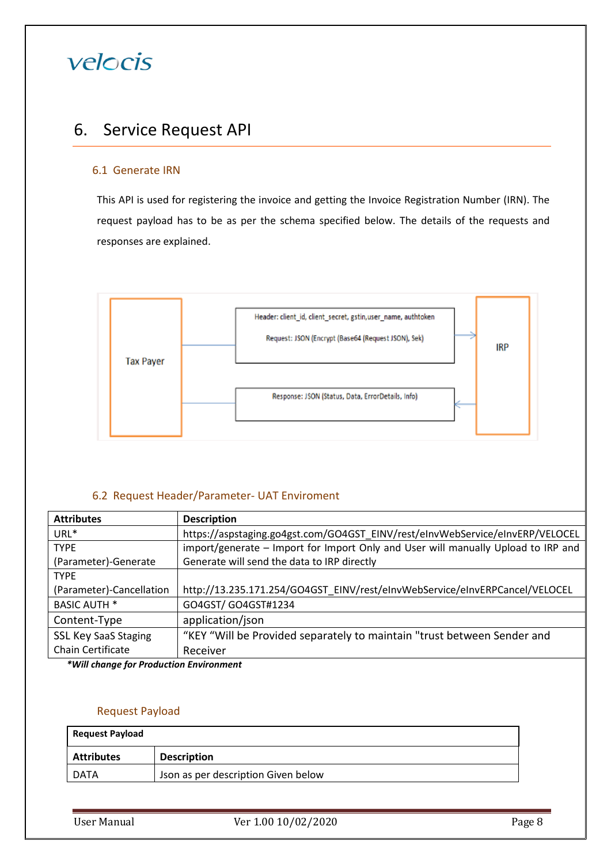## <span id="page-7-0"></span>6. Service Request API

### 6.1 Generate IRN

This API is used for registering the invoice and getting the Invoice Registration Number (IRN). The request payload has to be as per the schema specified below. The details of the requests and responses are explained.



### 6.2 Request Header/Parameter- UAT Enviroment

| <b>Attributes</b>           | <b>Description</b>                                                                |  |
|-----------------------------|-----------------------------------------------------------------------------------|--|
| URL*                        | https://aspstaging.go4gst.com/GO4GST_EINV/rest/eInvWebService/eInvERP/VELOCEL     |  |
| <b>TYPE</b>                 | import/generate – Import for Import Only and User will manually Upload to IRP and |  |
| (Parameter)-Generate        | Generate will send the data to IRP directly                                       |  |
| <b>TYPE</b>                 |                                                                                   |  |
| (Parameter)-Cancellation    | http://13.235.171.254/GO4GST EINV/rest/eInvWebService/eInvERPCancel/VELOCEL       |  |
| <b>BASIC AUTH *</b>         | GO4GST/ GO4GST#1234                                                               |  |
| Content-Type                | application/json                                                                  |  |
| <b>SSL Key SaaS Staging</b> | "KEY "Will be Provided separately to maintain "trust between Sender and           |  |
| Chain Certificate           | Receiver                                                                          |  |

*\*Will change for Production Environment*

### Request Payload

| <b>Request Payload</b> |                                     |  |
|------------------------|-------------------------------------|--|
| <b>Attributes</b>      | <b>Description</b>                  |  |
| DATA                   | Json as per description Given below |  |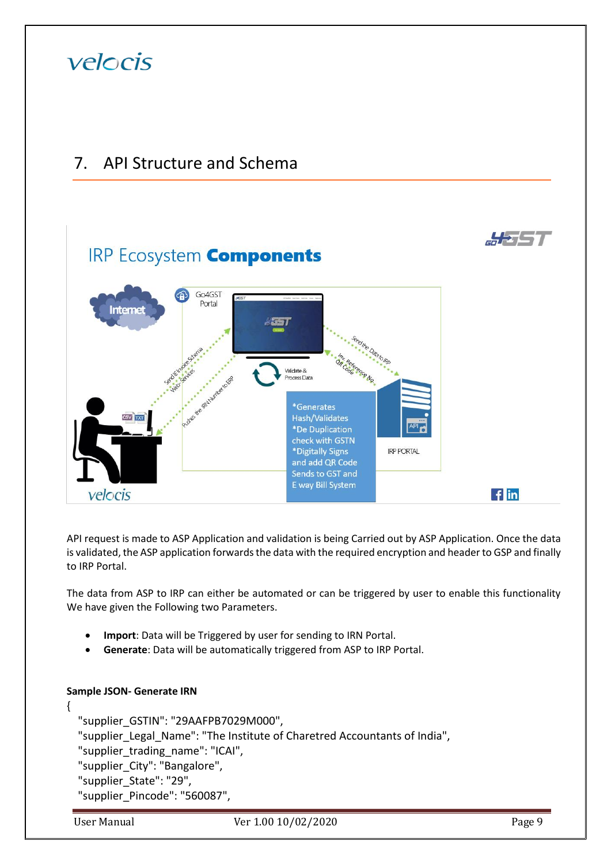

## <span id="page-8-0"></span>7. API Structure and Schema



API request is made to ASP Application and validation is being Carried out by ASP Application. Once the data is validated, the ASP application forwards the data with the required encryption and header to GSP and finally to IRP Portal.

The data from ASP to IRP can either be automated or can be triggered by user to enable this functionality We have given the Following two Parameters.

- **Import**: Data will be Triggered by user for sending to IRN Portal.
- **Generate**: Data will be automatically triggered from ASP to IRP Portal.

```
Sample JSON- Generate IRN 
{
   "supplier_GSTIN": "29AAFPB7029M000",
  "supplier_Legal_Name": "The Institute of Charetred Accountants of India",
  "supplier_trading_name": "ICAI",
   "supplier_City": "Bangalore",
   "supplier_State": "29",
   "supplier_Pincode": "560087",
```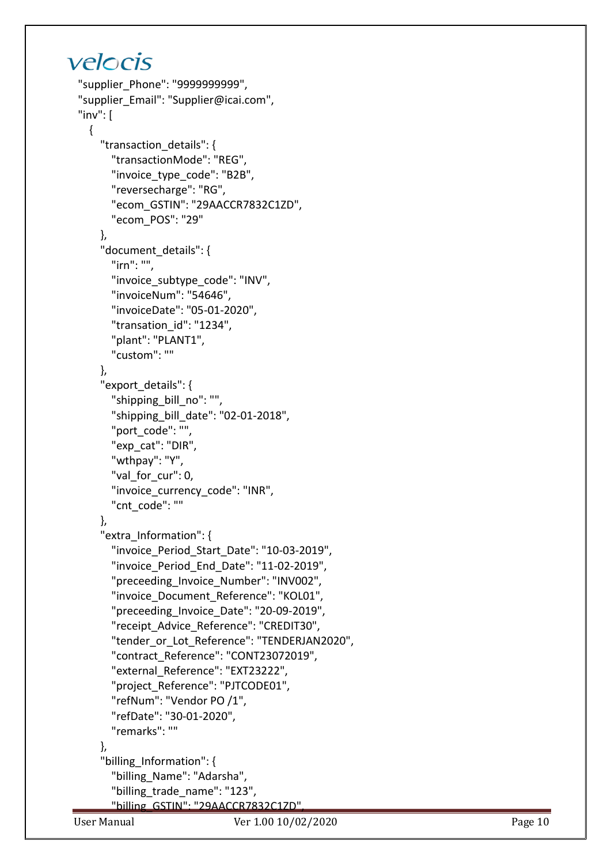```
 "supplier_Phone": "9999999999",
  "supplier_Email": "Supplier@icai.com",
 "inv": [{
       "transaction_details": {
         "transactionMode": "REG",
         "invoice_type_code": "B2B",
         "reversecharge": "RG",
         "ecom_GSTIN": "29AACCR7832C1ZD",
         "ecom_POS": "29"
       },
       "document_details": {
         "irn": "",
        "invoice subtype code": "INV",
         "invoiceNum": "54646",
 "invoiceDate": "05
-01
-2020",
         "transation_id": "1234",
         "plant": "PLANT1",
         "custom": ""
       },
       "export_details": {
         "shipping_bill_no": "",
 "shipping_bill_date": "02
-01
-2018",
         "port_code": "",
         "exp_cat": "DIR",
         "wthpay": "Y",
         "val_for_cur": 0,
         "invoice_currency_code": "INR",
         "cnt_code": ""
       },
       "extra_Information": {
 "invoice_Period_Start_Date": "10
-03
-2019",
 "invoice_Period_End_Date": "11
-02
-2019",
         "preceeding_Invoice_Number": "INV002",
         "invoice_Document_Reference": "KOL01",
 "preceeding_Invoice_Date": "20
-09
-2019",
         "receipt_Advice_Reference": "CREDIT30",
         "tender_or_Lot_Reference": "TENDERJAN2020",
         "contract_Reference": "CONT23072019",
         "external_Reference": "EXT23222",
         "project_Reference": "PJTCODE01",
         "refNum": "Vendor PO /1",
 "refDate": "30
-01
-2020",
         "remarks": ""
       },
       "billing_Information": {
         "billing_Name": "Adarsha",
         "billing_trade_name": "123",
         "billing_GSTIN": "29AACCR7832C1ZD",
```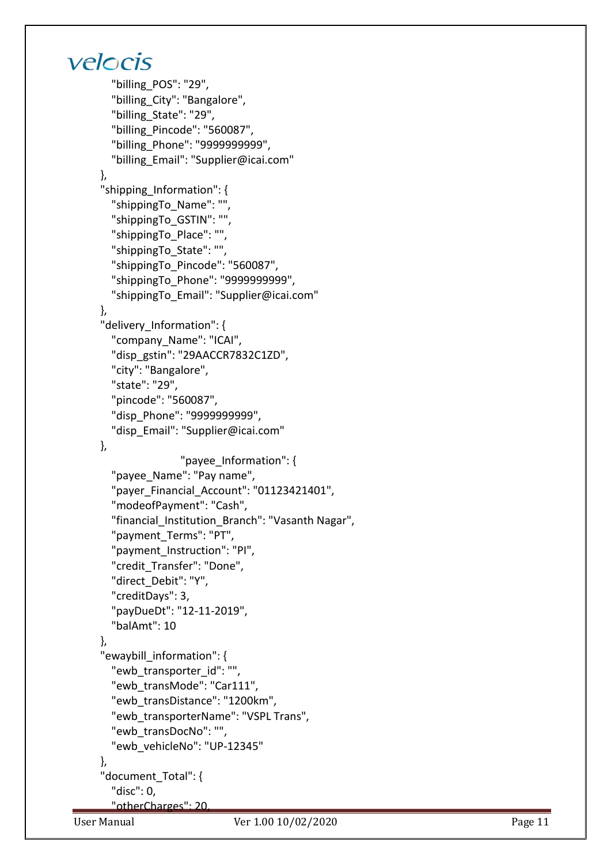```
 "billing_POS": "29",
         "billing_City": "Bangalore",
         "billing_State": "29",
         "billing_Pincode": "560087",
         "billing_Phone": "9999999999",
         "billing_Email": "Supplier@icai.com"
       },
       "shipping_Information": {
         "shippingTo_Name": "",
         "shippingTo_GSTIN": "",
         "shippingTo_Place": "",
         "shippingTo_State": "",
         "shippingTo_Pincode": "560087",
         "shippingTo_Phone": "9999999999",
         "shippingTo_Email": "Supplier@icai.com"
       },
       "delivery_Information": {
         "company_Name": "ICAI",
         "disp_gstin": "29AACCR7832C1ZD",
         "city": "Bangalore",
         "state": "29",
         "pincode": "560087",
         "disp_Phone": "9999999999",
         "disp_Email": "Supplier@icai.com"
       },
                      "payee_Information": {
         "payee_Name": "Pay name",
        "payer Financial Account": "01123421401",
         "modeofPayment": "Cash",
         "financial_Institution_Branch": "Vasanth Nagar",
         "payment_Terms": "PT",
         "payment_Instruction": "PI",
         "credit_Transfer": "Done",
         "direct_Debit": "Y",
         "creditDays": 3,
 "payDueDt": "12
-11
-2019",
         "balAmt": 10
       },
       "ewaybill_information": {
         "ewb_transporter_id": "",
         "ewb_transMode": "Car111",
         "ewb_transDistance": "1200km",
         "ewb_transporterName": "VSPL Trans",
         "ewb_transDocNo": "",
 "ewb_vehicleNo": "UP
-12345"
       },
       "document_Total": {
         "disc": 0,
         "otherCharges": 20,
```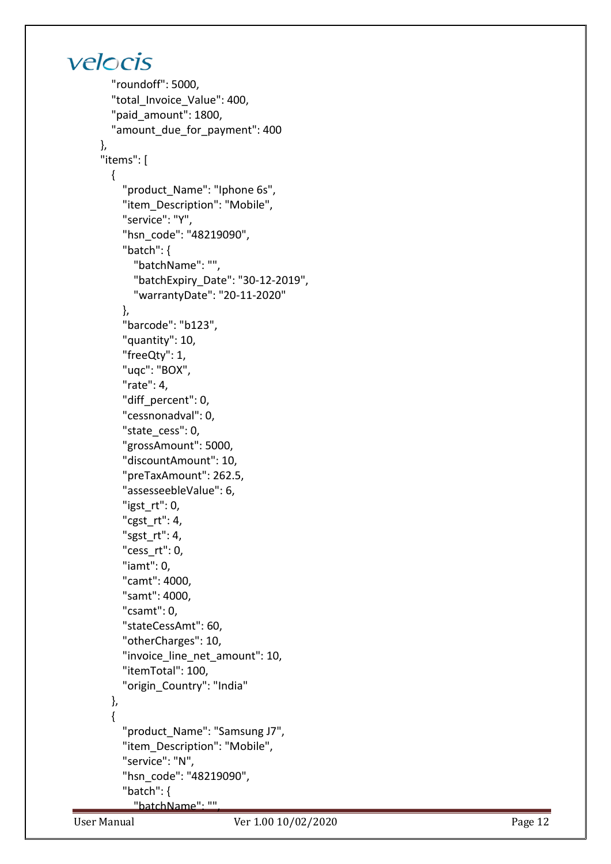```
 "roundoff": 5000,
         "total_Invoice_Value": 400,
         "paid_amount": 1800,
        "amount due for payment": 400
       },
       "items": [
        \left\{ \right. "product_Name": "Iphone 6s",
            "item_Description": "Mobile",
            "service": "Y",
            "hsn_code": "48219090",
            "batch": {
              "batchName": "",
 "batchExpiry_Date": "30
-12
-2019",
 "warrantyDate": "20
-11
-2020"
            },
            "barcode": "b123",
            "quantity": 10,
            "freeQty": 1,
            "uqc": "BOX",
            "rate": 4,
            "diff_percent": 0,
            "cessnonadval": 0,
            "state_cess": 0,
            "grossAmount": 5000,
            "discountAmount": 10,
            "preTaxAmount": 262.5,
            "assesseebleValue": 6,
            "igst_rt": 0,
            "cgst_rt": 4,
            "sgst_rt": 4,
            "cess_rt": 0,
            "iamt": 0,
            "camt": 4000,
            "samt": 4000,
            "csamt": 0,
            "stateCessAmt": 60,
            "otherCharges": 10,
           "invoice line net amount": 10,
            "itemTotal": 100,
            "origin_Country": "India"
         },
        {
            "product_Name": "Samsung J7",
            "item_Description": "Mobile",
 "service": "
N",
            "hsn_code": "48219090",
            "batch": {
              "batchName": "",
```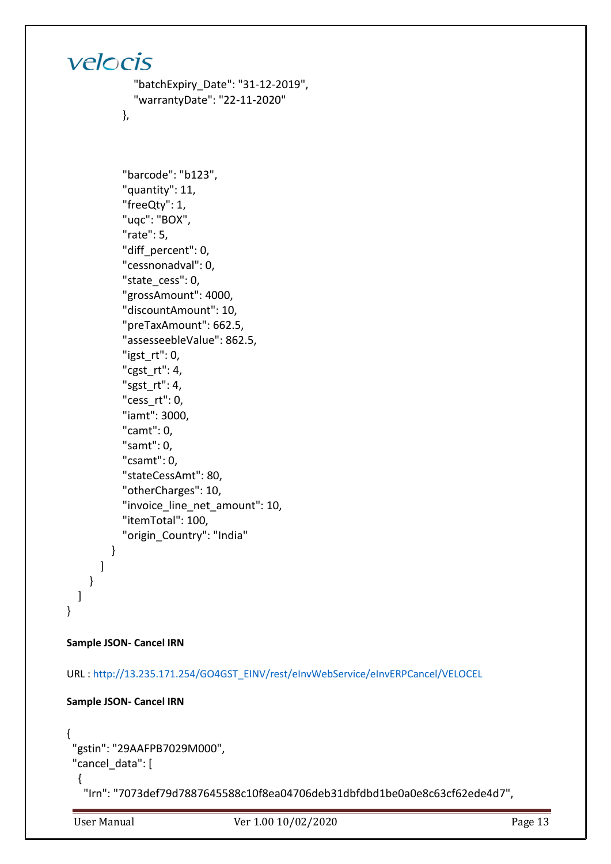```
 "batchExpiry_Date": "31-12-2019",
 "warrantyDate": "22-11-2020"
```
},

```
 "barcode": "b123",
        "quantity": 11,
        "freeQty": 1,
        "uqc": "BOX",
        "rate": 5,
       "diff_percent": 0,
        "cessnonadval": 0,
       "state cess": 0,
        "grossAmount": 4000,
        "discountAmount": 10,
        "preTaxAmount": 662.5,
        "assesseebleValue": 862.5,
       "igstrt": 0,
        "cgst_rt": 4,
        "sgst_rt": 4,
        "cess_rt": 0,
        "iamt": 3000,
        "camt": 0,
        "samt": 0,
        "csamt": 0,
        "stateCessAmt": 80,
        "otherCharges": 10,
        "invoice_line_net_amount": 10,
        "itemTotal": 100,
        "origin_Country": "India"
     }
   ]
 }
```
### **Sample JSON- Cancel IRN**

 ] }

URL [: http://13.235.171.254/GO4GST\\_EINV/rest/eInvWebService/eInvERPCancel/VELOCEL](http://13.235.171.254/GO4GST_EINV/rest/eInvWebService/eInvERPCancel/VELOCEL)

```
Sample JSON- Cancel IRN
```

```
{
  "gstin": "29AAFPB7029M000",
 "cancel data": [
   {
```
"Irn": "7073def79d7887645588c10f8ea04706deb31dbfdbd1be0a0e8c63cf62ede4d7",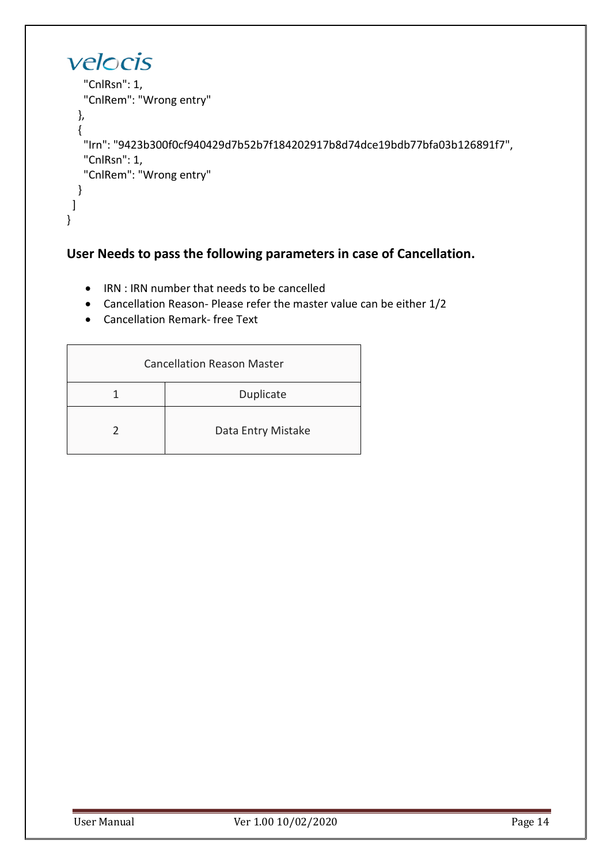```
velocis
    "CnlRsn": 1,
    "CnlRem": "Wrong entry"
   },
   {
    "Irn": "9423b300f0cf940429d7b52b7f184202917b8d74dce19bdb77bfa03b126891f7",
    "CnlRsn": 1,
    "CnlRem": "Wrong entry"
  }
 ]
}
```
### **User Needs to pass the following parameters in case of Cancellation.**

- IRN : IRN number that needs to be cancelled
- Cancellation Reason- Please refer the master value can be either 1/2
- Cancellation Remark- free Text

| <b>Cancellation Reason Master</b> |                    |  |  |
|-----------------------------------|--------------------|--|--|
| Duplicate                         |                    |  |  |
|                                   | Data Entry Mistake |  |  |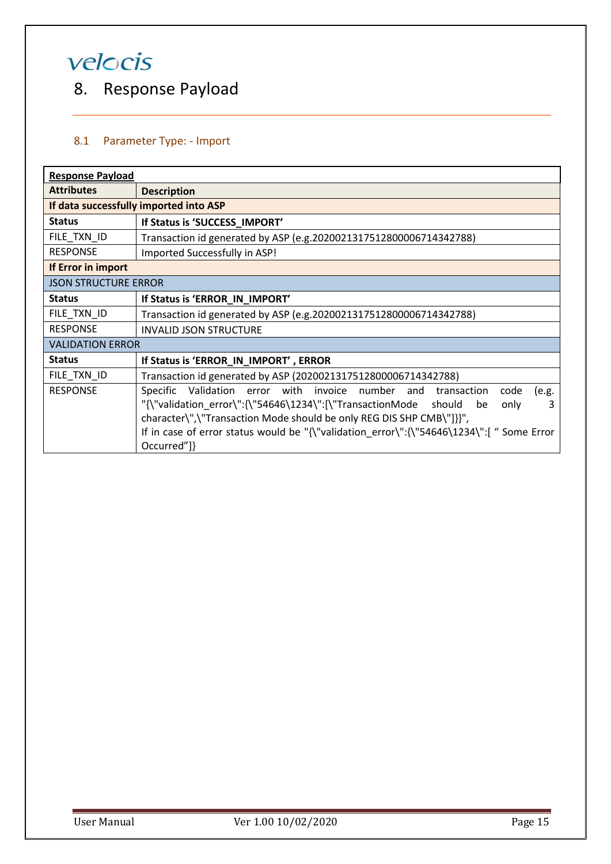## <span id="page-14-0"></span>8. Response Payload

### <span id="page-14-1"></span>8.1 Parameter Type: - Import

| <b>Response Payload</b>     |                                                                                                                                                          |  |  |  |  |
|-----------------------------|----------------------------------------------------------------------------------------------------------------------------------------------------------|--|--|--|--|
| <b>Attributes</b>           | <b>Description</b>                                                                                                                                       |  |  |  |  |
|                             | If data successfully imported into ASP                                                                                                                   |  |  |  |  |
| <b>Status</b>               | If Status is 'SUCCESS_IMPORT'                                                                                                                            |  |  |  |  |
| FILE_TXN_ID                 | Transaction id generated by ASP (e.g.2020021317512800006714342788)                                                                                       |  |  |  |  |
| <b>RESPONSE</b>             | Imported Successfully in ASP!                                                                                                                            |  |  |  |  |
| If Error in import          |                                                                                                                                                          |  |  |  |  |
| <b>JSON STRUCTURE ERROR</b> |                                                                                                                                                          |  |  |  |  |
| <b>Status</b>               | If Status is 'ERROR_IN_IMPORT'                                                                                                                           |  |  |  |  |
| FILE_TXN_ID                 | Transaction id generated by ASP (e.g.2020021317512800006714342788)                                                                                       |  |  |  |  |
| <b>RESPONSE</b>             | <b>INVALID JSON STRUCTURE</b>                                                                                                                            |  |  |  |  |
| <b>VALIDATION ERROR</b>     |                                                                                                                                                          |  |  |  |  |
| <b>Status</b>               | If Status is 'ERROR_IN_IMPORT', ERROR                                                                                                                    |  |  |  |  |
| FILE_TXN_ID                 | Transaction id generated by ASP (2020021317512800006714342788)                                                                                           |  |  |  |  |
| <b>RESPONSE</b>             | Specific Validation error with invoice number and transaction<br>code<br>(e.g.                                                                           |  |  |  |  |
|                             | "{\"validation error\":{\"54646\1234\":[\"TransactionMode should be<br>3<br>only<br>character\",\"Transaction Mode should be only REG DIS SHP CMB\"]}}", |  |  |  |  |
|                             | If in case of error status would be "{\"validation error\":{\"54646\1234\":[" Some Error<br>Occurred"]}                                                  |  |  |  |  |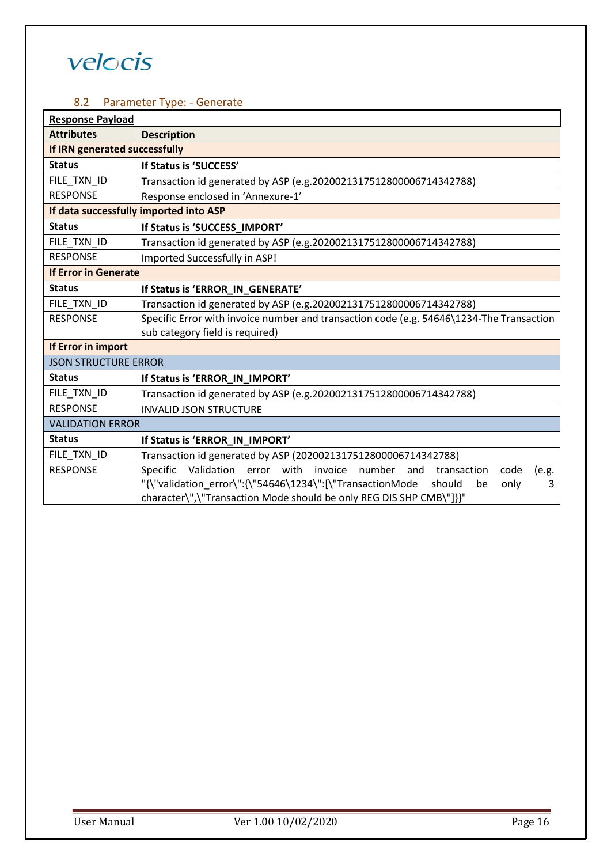### <span id="page-15-0"></span>8.2 Parameter Type: - Generate

| <b>Response Payload</b>       |                                                                                                |  |  |  |
|-------------------------------|------------------------------------------------------------------------------------------------|--|--|--|
| <b>Attributes</b>             | <b>Description</b>                                                                             |  |  |  |
| If IRN generated successfully |                                                                                                |  |  |  |
| <b>Status</b>                 | If Status is 'SUCCESS'                                                                         |  |  |  |
| FILE_TXN_ID                   | Transaction id generated by ASP (e.g.2020021317512800006714342788)                             |  |  |  |
| <b>RESPONSE</b>               | Response enclosed in 'Annexure-1'                                                              |  |  |  |
|                               | If data successfully imported into ASP                                                         |  |  |  |
| <b>Status</b>                 | If Status is 'SUCCESS_IMPORT'                                                                  |  |  |  |
| FILE_TXN_ID                   | Transaction id generated by ASP (e.g.2020021317512800006714342788)                             |  |  |  |
| <b>RESPONSE</b>               | Imported Successfully in ASP!                                                                  |  |  |  |
| <b>If Error in Generate</b>   |                                                                                                |  |  |  |
| <b>Status</b>                 | If Status is 'ERROR_IN_GENERATE'                                                               |  |  |  |
| FILE_TXN_ID                   | Transaction id generated by ASP (e.g.2020021317512800006714342788)                             |  |  |  |
| <b>RESPONSE</b>               | Specific Error with invoice number and transaction code (e.g. 54646\1234-The Transaction       |  |  |  |
|                               | sub category field is required)                                                                |  |  |  |
| If Error in import            |                                                                                                |  |  |  |
| <b>JSON STRUCTURE ERROR</b>   |                                                                                                |  |  |  |
| <b>Status</b>                 | If Status is 'ERROR_IN_IMPORT'                                                                 |  |  |  |
| FILE_TXN_ID                   | Transaction id generated by ASP (e.g.2020021317512800006714342788)                             |  |  |  |
| <b>RESPONSE</b>               | <b>INVALID JSON STRUCTURE</b>                                                                  |  |  |  |
| <b>VALIDATION ERROR</b>       |                                                                                                |  |  |  |
| <b>Status</b>                 | If Status is 'ERROR_IN_IMPORT'                                                                 |  |  |  |
| FILE_TXN_ID                   | Transaction id generated by ASP (2020021317512800006714342788)                                 |  |  |  |
| <b>RESPONSE</b>               | Validation error with invoice<br>number and<br><b>Specific</b><br>transaction<br>code<br>(e.g. |  |  |  |
|                               | "{\"validation_error\":{\"54646\1234\":[\"TransactionMode<br>should<br>only<br>3<br>be         |  |  |  |
|                               | character\",\"Transaction Mode should be only REG DIS SHP CMB\"]}}"                            |  |  |  |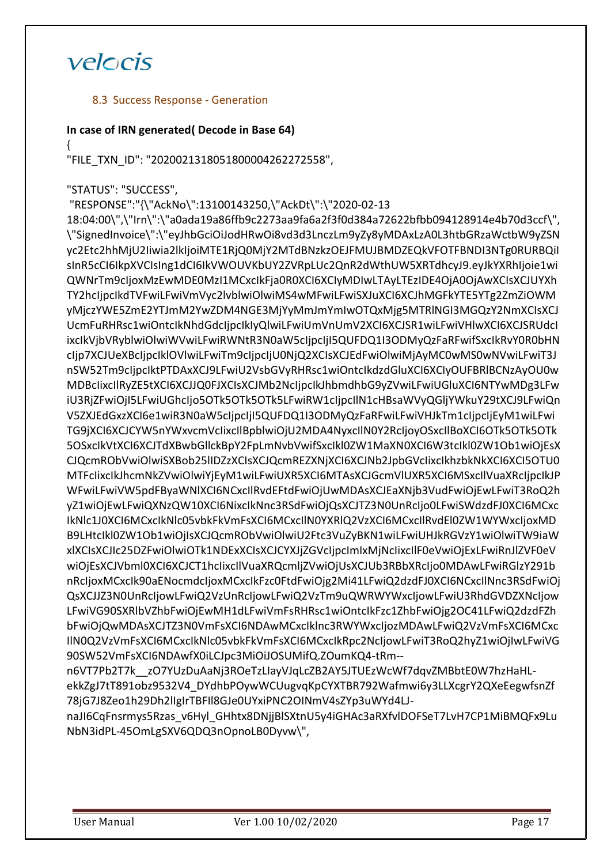### 8.3 Success Response - Generation

### **In case of IRN generated( Decode in Base 64)**

{

"FILE\_TXN\_ID": "2020021318051800004262272558",

### "STATUS": "SUCCESS",

"RESPONSE":"{\"AckNo\":13100143250,\"AckDt\":\"2020-02-13 18:04:00\",\"Irn\":\"a0ada19a86ffb9c2273aa9fa6a2f3f0d384a72622bfbb094128914e4b70d3ccf\", \"SignedInvoice\":\"eyJhbGciOiJodHRwOi8vd3d3LnczLm9yZy8yMDAxLzA0L3htbGRzaWctbW9yZSN yc2Etc2hhMjU2Iiwia2lkIjoiMTE1RjQ0MjY2MTdBNzkzOEJFMUJBMDZEQkVFOTFBNDI3NTg0RURBQiI sInR5cCI6IkpXVCIsIng1dCI6IkVWOUVKbUY2ZVRpLUc2QnR2dWthUW5XRTdhcyJ9.eyJkYXRhIjoie1wi QWNrTm9cIjoxMzEwMDE0MzI1MCxcIkFja0R0XCI6XCIyMDIwLTAyLTEzIDE4OjA0OjAwXCIsXCJUYXh TY2hcIjpcIkdTVFwiLFwiVmVyc2lvblwiOlwiMS4wMFwiLFwiSXJuXCI6XCJhMGFkYTE5YTg2ZmZiOWM yMjczYWE5ZmE2YTJmM2YwZDM4NGE3MjYyMmJmYmIwOTQxMjg5MTRlNGI3MGQzY2NmXCIsXCJ UcmFuRHRsc1wiOntcIkNhdGdcIjpcIkIyQlwiLFwiUmVnUmV2XCI6XCJSR1wiLFwiVHlwXCI6XCJSRUdcI ixcIkVjbVRyblwiOlwiWVwiLFwiRWNtR3N0aW5cIjpcIjI5QUFDQ1I3ODMyQzFaRFwifSxcIkRvY0R0bHN cIjp7XCJUeXBcIjpcIklOVlwiLFwiTm9cIjpcIjU0NjQ2XCIsXCJEdFwiOlwiMjAyMC0wMS0wNVwiLFwiT3J nSW52Tm9cIjpcIktPTDAxXCJ9LFwiU2VsbGVyRHRsc1wiOntcIkdzdGluXCI6XCIyOUFBRlBCNzAyOU0w MDBcIixcIlRyZE5tXCI6XCJJQ0FJXCIsXCJMb2NcIjpcIkJhbmdhbG9yZVwiLFwiUGluXCI6NTYwMDg3LFw iU3RjZFwiOjI5LFwiUGhcIjo5OTk5OTk5OTk5LFwiRW1cIjpcIlN1cHBsaWVyQGljYWkuY29tXCJ9LFwiQn V5ZXJEdGxzXCI6e1wiR3N0aW5cIjpcIjI5QUFDQ1I3ODMyQzFaRFwiLFwiVHJkTm1cIjpcIjEyM1wiLFwi TG9jXCI6XCJCYW5nYWxvcmVcIixcIlBpblwiOjU2MDA4NyxcIlN0Y2RcIjoyOSxcIlBoXCI6OTk5OTk5OTk 5OSxcIkVtXCI6XCJTdXBwbGllckBpY2FpLmNvbVwifSxcIkl0ZW1MaXN0XCI6W3tcIkl0ZW1Ob1wiOjEsX CJQcmRObVwiOlwiSXBob25lIDZzXCIsXCJQcmREZXNjXCI6XCJNb2JpbGVcIixcIkhzbkNkXCI6XCI5OTU0 MTFcIixcIkJhcmNkZVwiOlwiYjEyM1wiLFwiUXR5XCI6MTAsXCJGcmVlUXR5XCI6MSxcIlVuaXRcIjpcIkJP WFwiLFwiVW5pdFByaWNlXCI6NCxcIlRvdEFtdFwiOjUwMDAsXCJEaXNjb3VudFwiOjEwLFwiT3RoQ2h yZ1wiOjEwLFwiQXNzQW10XCI6NixcIkNnc3RSdFwiOjQsXCJTZ3N0UnRcIjo0LFwiSWdzdFJ0XCI6MCxc IkNlc1J0XCI6MCxcIkNlc05vbkFkVmFsXCI6MCxcIlN0YXRlQ2VzXCI6MCxcIlRvdEl0ZW1WYWxcIjoxMD B9LHtcIkl0ZW1Ob1wiOjIsXCJQcmRObVwiOlwiU2Ftc3VuZyBKN1wiLFwiUHJkRGVzY1wiOlwiTW9iaW xlXCIsXCJIc25DZFwiOlwiOTk1NDExXCIsXCJCYXJjZGVcIjpcImIxMjNcIixcIlF0eVwiOjExLFwiRnJlZVF0eV wiOjEsXCJVbml0XCI6XCJCT1hcIixcIlVuaXRQcmljZVwiOjUsXCJUb3RBbXRcIjo0MDAwLFwiRGlzY291b nRcIjoxMCxcIk90aENocmdcIjoxMCxcIkFzc0FtdFwiOjg2Mi41LFwiQ2dzdFJ0XCI6NCxcIlNnc3RSdFwiOj QsXCJJZ3N0UnRcIjowLFwiQ2VzUnRcIjowLFwiQ2VzTm9uQWRWYWxcIjowLFwiU3RhdGVDZXNcIjow LFwiVG90SXRlbVZhbFwiOjEwMH1dLFwiVmFsRHRsc1wiOntcIkFzc1ZhbFwiOjg2OC41LFwiQ2dzdFZh bFwiOjQwMDAsXCJTZ3N0VmFsXCI6NDAwMCxcIklnc3RWYWxcIjozMDAwLFwiQ2VzVmFsXCI6MCxc IlN0Q2VzVmFsXCI6MCxcIkNlc05vbkFkVmFsXCI6MCxcIkRpc2NcIjowLFwiT3RoQ2hyZ1wiOjIwLFwiVG 90SW52VmFsXCI6NDAwfX0iLCJpc3MiOiJOSUMifQ.ZOumKQ4-tRm- n6VT7Pb2T7k\_\_zO7YUzDuAaNj3ROeTzLIayVJqLcZB2AY5JTUEzWcWf7dqvZMBbtE0W7hzHaHL-

ekkZgJ7tT891obz9532V4\_DYdhbPOywWCUugvqKpCYXTBR792Wafmwi6y3LLXcgrY2QXeEegwfsnZf 78jG7J8Zeo1h29Dh2lIgIrTBFIl8GJe0UYxiPNC2OINmV4sZYp3uWYd4LJ-

naJI6CqFnsrmys5Rzas\_v6Hyl\_GHhtx8DNjjBlSXtnU5y4iGHAc3aRXfvlDOFSeT7LvH7CP1MiBMQFx9Lu NbN3idPL-45OmLgSXV6QDQ3nOpnoLB0Dyvw\",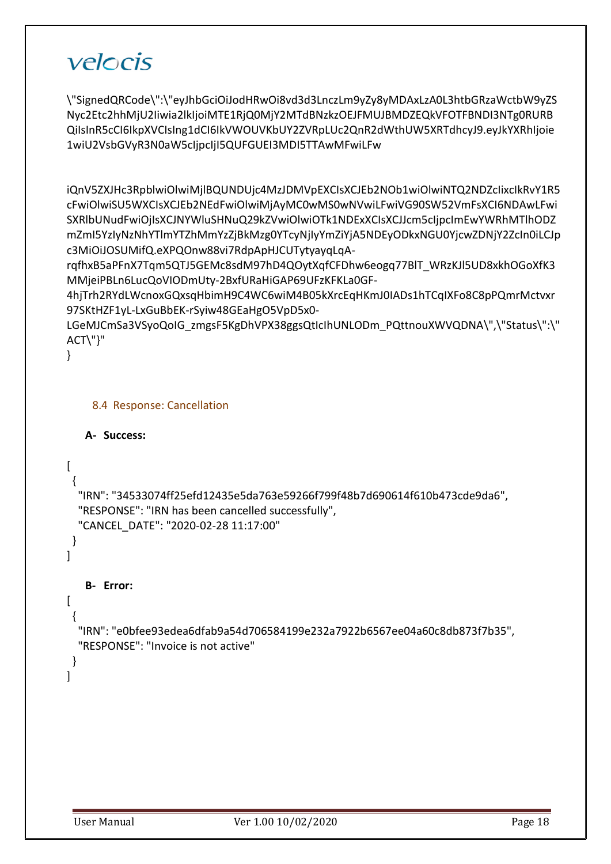\"SignedQRCode\":\"eyJhbGciOiJodHRwOi8vd3d3LnczLm9yZy8yMDAxLzA0L3htbGRzaWctbW9yZS Nyc2Etc2hhMjU2Iiwia2lkIjoiMTE1RjQ0MjY2MTdBNzkzOEJFMUJBMDZEQkVFOTFBNDI3NTg0RURB QiIsInR5cCI6IkpXVCIsIng1dCI6IkVWOUVKbUY2ZVRpLUc2QnR2dWthUW5XRTdhcyJ9.eyJkYXRhIjoie 1wiU2VsbGVyR3N0aW5cIjpcIjI5QUFGUEI3MDI5TTAwMFwiLFw

iQnV5ZXJHc3RpblwiOlwiMjlBQUNDUjc4MzJDMVpEXCIsXCJEb2NOb1wiOlwiNTQ2NDZcIixcIkRvY1R5 cFwiOlwiSU5WXCIsXCJEb2NEdFwiOlwiMjAyMC0wMS0wNVwiLFwiVG90SW52VmFsXCI6NDAwLFwi SXRlbUNudFwiOjIsXCJNYWluSHNuQ29kZVwiOlwiOTk1NDExXCIsXCJJcm5cIjpcImEwYWRhMTlhODZ mZmI5YzIyNzNhYTlmYTZhMmYzZjBkMzg0YTcyNjIyYmZiYjA5NDEyODkxNGU0YjcwZDNjY2ZcIn0iLCJp c3MiOiJOSUMifQ.eXPQOnw88vi7RdpApHJCUTytyayqLqA-

rqfhxB5aPFnX7Tqm5QTJ5GEMc8sdM97hD4QOytXqfCFDhw6eogq77BlT\_WRzKJl5UD8xkhOGoXfK3 MMjeiPBLn6LucQoVIODmUty-2BxfURaHiGAP69UFzKFKLa0GF-

4hjTrh2RYdLWcnoxGQxsqHbimH9C4WC6wiM4B05kXrcEqHKmJ0IADs1hTCqIXFo8C8pPQmrMctvxr 97SKtHZF1yL-LxGuBbEK-rSyiw48GEaHgO5VpD5x0-

LGeMJCmSa3VSyoQoIG\_zmgsF5KgDhVPX38ggsQtIcIhUNLODm\_PQttnouXWVQDNA\",\"Status\":\" ACT\"}"

}

### 8.4 Response: Cancellation

```
A- Success:
```

```
\left[ \right] {
```
 } ]

 "IRN": "34533074ff25efd12435e5da763e59266f799f48b7d690614f610b473cde9da6", "RESPONSE": "IRN has been cancelled successfully",

"CANCEL\_DATE": "2020-02-28 11:17:00"

```
B- Error:
```

```
\lceil
```
{

 } ]

 "IRN": "e0bfee93edea6dfab9a54d706584199e232a7922b6567ee04a60c8db873f7b35", "RESPONSE": "Invoice is not active"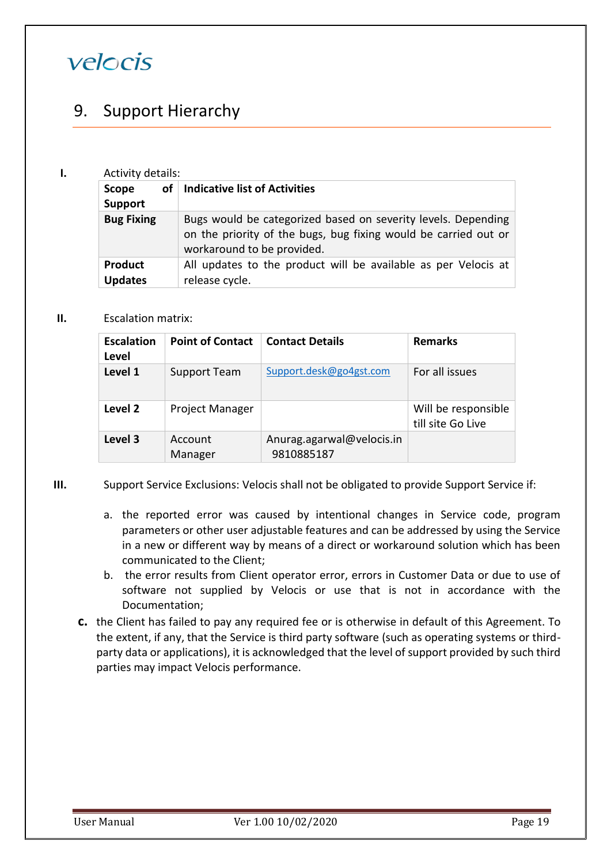## <span id="page-18-0"></span>9. Support Hierarchy

### **I.** Activity details:

| .                                |                                                                                                                                                                |  |  |
|----------------------------------|----------------------------------------------------------------------------------------------------------------------------------------------------------------|--|--|
| οf<br>Scope<br><b>Support</b>    | <b>Indicative list of Activities</b>                                                                                                                           |  |  |
| <b>Bug Fixing</b>                | Bugs would be categorized based on severity levels. Depending<br>on the priority of the bugs, bug fixing would be carried out or<br>workaround to be provided. |  |  |
| <b>Product</b><br><b>Updates</b> | All updates to the product will be available as per Velocis at<br>release cycle.                                                                               |  |  |

### **II.** Escalation matrix:

| <b>Escalation</b><br>Level | <b>Point of Contact</b> | <b>Contact Details</b>                  | <b>Remarks</b>                           |
|----------------------------|-------------------------|-----------------------------------------|------------------------------------------|
| Level 1                    | <b>Support Team</b>     | Support.desk@go4gst.com                 | For all issues                           |
| Level 2                    | <b>Project Manager</b>  |                                         | Will be responsible<br>till site Go Live |
| Level 3                    | Account<br>Manager      | Anurag.agarwal@velocis.in<br>9810885187 |                                          |

- **III.** Support Service Exclusions: Velocis shall not be obligated to provide Support Service if:
	- a. the reported error was caused by intentional changes in Service code, program parameters or other user adjustable features and can be addressed by using the Service in a new or different way by means of a direct or workaround solution which has been communicated to the Client;
	- b. the error results from Client operator error, errors in Customer Data or due to use of software not supplied by Velocis or use that is not in accordance with the Documentation;
	- **c.** the Client has failed to pay any required fee or is otherwise in default of this Agreement. To the extent, if any, that the Service is third party software (such as operating systems or thirdparty data or applications), it is acknowledged that the level of support provided by such third parties may impact Velocis performance.